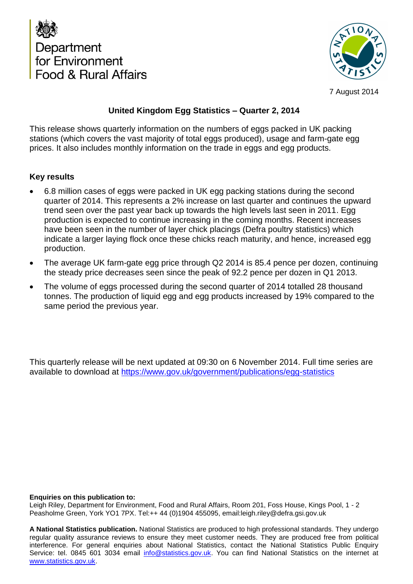



7 August 2014

### **United Kingdom Egg Statistics – Quarter 2, 2014**

This release shows quarterly information on the numbers of eggs packed in UK packing stations (which covers the vast majority of total eggs produced), usage and farm-gate egg prices. It also includes monthly information on the trade in eggs and egg products.

#### **Key results**

- 6.8 million cases of eggs were packed in UK egg packing stations during the second quarter of 2014. This represents a 2% increase on last quarter and continues the upward trend seen over the past year back up towards the high levels last seen in 2011. Egg production is expected to continue increasing in the coming months. Recent increases have been seen in the number of layer chick placings (Defra poultry statistics) which indicate a larger laying flock once these chicks reach maturity, and hence, increased egg production.
- The average UK farm-gate egg price through Q2 2014 is 85.4 pence per dozen, continuing the steady price decreases seen since the peak of 92.2 pence per dozen in Q1 2013.
- The volume of eggs processed during the second quarter of 2014 totalled 28 thousand tonnes. The production of liquid egg and egg products increased by 19% compared to the same period the previous year.

This quarterly release will be next updated at 09:30 on 6 November 2014. Full time series are available to download at <https://www.gov.uk/government/publications/egg-statistics>

#### **Enquiries on this publication to:**

Leigh Riley, Department for Environment, Food and Rural Affairs, Room 201, Foss House, Kings Pool, 1 - 2 Peasholme Green, York YO1 7PX. Tel:++ 44 (0)1904 455095, email:leigh.riley@defra.gsi.gov.uk

**A National Statistics publication.** National Statistics are produced to high professional standards. They undergo regular quality assurance reviews to ensure they meet customer needs. They are produced free from political interference. For general enquiries about National Statistics, contact the National Statistics Public Enquiry Service: tel. 0845 601 3034 email info@statistics.gov.uk. You can find National Statistics on the internet at www.statistics.gov.uk.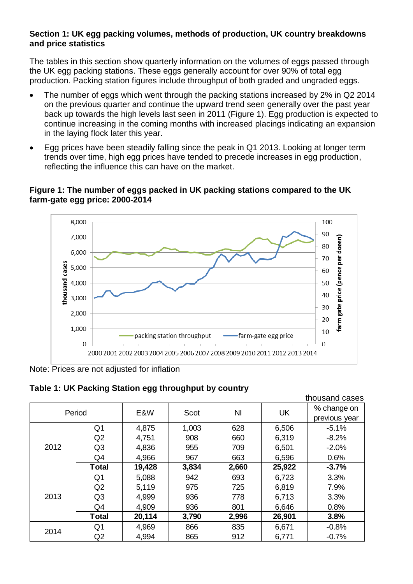#### **Section 1: UK egg packing volumes, methods of production, UK country breakdowns and price statistics**

The tables in this section show quarterly information on the volumes of eggs passed through the UK egg packing stations. These eggs generally account for over 90% of total egg production. Packing station figures include throughput of both graded and ungraded eggs.

- The number of eggs which went through the packing stations increased by 2% in Q2 2014 on the previous quarter and continue the upward trend seen generally over the past year back up towards the high levels last seen in 2011 (Figure 1). Egg production is expected to continue increasing in the coming months with increased placings indicating an expansion in the laying flock later this year.
- Egg prices have been steadily falling since the peak in Q1 2013. Looking at longer term trends over time, high egg prices have tended to precede increases in egg production, reflecting the influence this can have on the market.

#### **Figure 1: The number of eggs packed in UK packing stations compared to the UK farm-gate egg price: 2000-2014**



Note: Prices are not adjusted for inflation

**Table 1: UK Packing Station egg throughput by country**

|        |                |             |       |                |           | thousand Cases |
|--------|----------------|-------------|-------|----------------|-----------|----------------|
| Period |                | E&W<br>Scot |       | N <sub>l</sub> | <b>UK</b> | % change on    |
|        |                |             |       |                |           | previous year  |
|        | Q <sub>1</sub> | 4,875       | 1,003 | 628            | 6,506     | $-5.1%$        |
|        | Q2             | 4,751       | 908   | 660            | 6,319     | $-8.2%$        |
| 2012   | Q <sub>3</sub> | 4,836       | 955   | 709            | 6,501     | $-2.0%$        |
|        | Q4             | 4,966       | 967   | 663            | 6,596     | 0.6%           |
|        | <b>Total</b>   | 19,428      | 3,834 | 2,660          | 25,922    | $-3.7%$        |
|        | Q1             | 5,088       | 942   | 693            | 6,723     | 3.3%           |
|        | Q2             | 5,119       | 975   | 725            | 6,819     | 7.9%           |
| 2013   | Q <sub>3</sub> | 4,999       | 936   | 778            | 6,713     | 3.3%           |
|        | Q4             | 4,909       | 936   | 801            | 6,646     | 0.8%           |
|        | <b>Total</b>   | 20,114      | 3,790 | 2,996          | 26,901    | 3.8%           |
| 2014   | Q1             | 4,969       | 866   | 835            | 6,671     | $-0.8%$        |
|        | Q <sub>2</sub> | 4,994       | 865   | 912            | 6,771     | $-0.7%$        |

thousand cases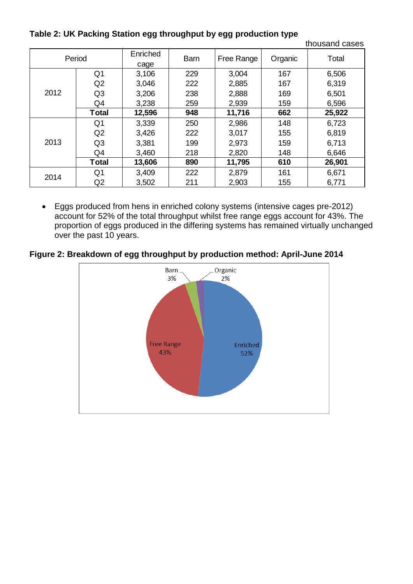**Table 2: UK Packing Station egg throughput by egg production type**

|        |                | JJ               |             | - JJ 1-    | ◢       | thousand cases |
|--------|----------------|------------------|-------------|------------|---------|----------------|
| Period |                | Enriched<br>cage | <b>Barn</b> | Free Range | Organic | Total          |
|        | Q <sub>1</sub> | 3,106            | 229         | 3,004      | 167     | 6,506          |
|        | Q2             | 3,046            | 222         | 2,885      | 167     | 6,319          |
| 2012   | Q <sub>3</sub> | 3,206            | 238         | 2,888      | 169     | 6,501          |
|        | Q4             | 3,238            | 259         | 2,939      | 159     | 6,596          |
|        | Total          | 12,596           | 948         | 11,716     | 662     | 25,922         |
|        | Q <sub>1</sub> | 3,339            | 250         | 2,986      | 148     | 6,723          |
|        | Q2             | 3,426            | 222         | 3,017      | 155     | 6,819          |
| 2013   | Q <sub>3</sub> | 3,381            | 199         | 2,973      | 159     | 6,713          |
|        | Q4             | 3,460            | 218         | 2,820      | 148     | 6,646          |
|        | <b>Total</b>   | 13,606           | 890         | 11,795     | 610     | 26,901         |
| 2014   | Q <sub>1</sub> | 3,409            | 222         | 2,879      | 161     | 6,671          |
|        | Q2             | 3,502            | 211         | 2,903      | 155     | 6,771          |

 Eggs produced from hens in enriched colony systems (intensive cages pre-2012) account for 52% of the total throughput whilst free range eggs account for 43%. The proportion of eggs produced in the differing systems has remained virtually unchanged over the past 10 years.

**Figure 2: Breakdown of egg throughput by production method: April-June 2014**

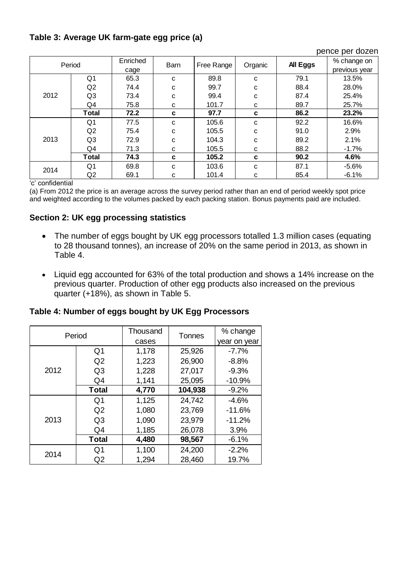## **Table 3: Average UK farm-gate egg price (a)**

| pence per dozen |                |          |             |            |         |          |               |  |
|-----------------|----------------|----------|-------------|------------|---------|----------|---------------|--|
| Period          |                | Enriched | <b>Barn</b> |            | Organic | All Eggs | % change on   |  |
|                 |                | cage     |             | Free Range |         |          | previous year |  |
|                 | Q <sub>1</sub> | 65.3     | c           | 89.8       | C       | 79.1     | 13.5%         |  |
|                 | Q <sub>2</sub> | 74.4     | c           | 99.7       | C       | 88.4     | 28.0%         |  |
| 2012            | Q <sub>3</sub> | 73.4     | c           | 99.4       | C       | 87.4     | 25.4%         |  |
|                 | Q4             | 75.8     | C           | 101.7      | C       | 89.7     | 25.7%         |  |
|                 | Total          | 72.2     | c           | 97.7       | C       | 86.2     | 23.2%         |  |
|                 | Q1             | 77.5     | c           | 105.6      | C       | 92.2     | 16.6%         |  |
|                 | Q2             | 75.4     | c           | 105.5      | C       | 91.0     | 2.9%          |  |
| 2013            | Q <sub>3</sub> | 72.9     | с           | 104.3      | C       | 89.2     | 2.1%          |  |
|                 | Q4             | 71.3     | С           | 105.5      | C       | 88.2     | $-1.7%$       |  |
|                 | Total          | 74.3     | c           | 105.2      | C       | 90.2     | 4.6%          |  |
| 2014            | Q <sub>1</sub> | 69.8     | C           | 103.6      | C       | 87.1     | $-5.6%$       |  |
|                 | Q <sub>2</sub> | 69.1     | С           | 101.4      | C       | 85.4     | $-6.1%$       |  |

'c' confidential

(a) From 2012 the price is an average across the survey period rather than an end of period weekly spot price and weighted according to the volumes packed by each packing station. Bonus payments paid are included.

### **Section 2: UK egg processing statistics**

- The number of eggs bought by UK egg processors totalled 1.3 million cases (equating to 28 thousand tonnes), an increase of 20% on the same period in 2013, as shown in Table 4.
- Liquid egg accounted for 63% of the total production and shows a 14% increase on the previous quarter. Production of other egg products also increased on the previous quarter (+18%), as shown in Table 5.

**Table 4: Number of eggs bought by UK Egg Processors**

|      | Period         | Thousand        | Tonnes  |              |
|------|----------------|-----------------|---------|--------------|
|      |                | cases           |         | year on year |
|      | Q <sub>1</sub> | 1,178           | 25,926  | $-7.7%$      |
|      | Q <sub>2</sub> | 1,223           | 26,900  | $-8.8\%$     |
| 2012 | Q3             | 1,228           | 27,017  | $-9.3%$      |
|      | Q4             | 1,141<br>25,095 |         | $-10.9%$     |
|      | <b>Total</b>   | 4,770           | 104,938 | $-9.2%$      |
|      | Q <sub>1</sub> | 1,125           | 24,742  | $-4.6%$      |
|      | Q <sub>2</sub> | 1,080           | 23,769  | $-11.6%$     |
| 2013 | Q3             | 1,090           | 23,979  | $-11.2%$     |
|      | Q4             | 1,185           | 26,078  | 3.9%         |
|      | <b>Total</b>   | 4,480           | 98,567  | $-6.1%$      |
| 2014 | Q <sub>1</sub> | 1,100           | 24,200  | $-2.2%$      |
|      | Q2             | 1,294           | 28,460  | 19.7%        |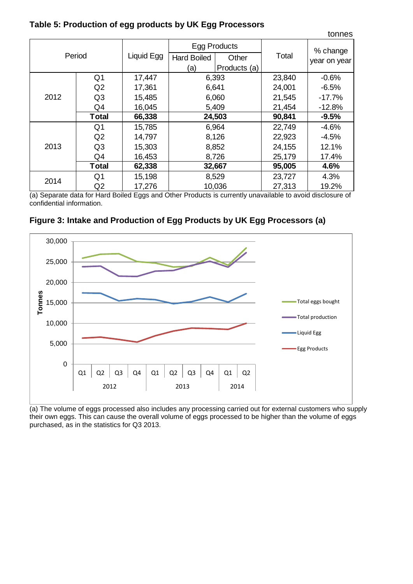| Table 5: Production of egg products by UK Egg Processors |  |
|----------------------------------------------------------|--|
|----------------------------------------------------------|--|

|      |                |            |                             |              |        | tonnes       |  |
|------|----------------|------------|-----------------------------|--------------|--------|--------------|--|
|      |                | Liquid Egg |                             | Egg Products |        | % change     |  |
|      | Period         |            | <b>Hard Boiled</b><br>Other |              | Total  | year on year |  |
|      |                |            | (a)                         | Products (a) |        |              |  |
|      | Q <sub>1</sub> | 17,447     |                             | 6,393        | 23,840 | $-0.6%$      |  |
|      | Q2             | 17,361     |                             | 6,641        | 24,001 | $-6.5%$      |  |
| 2012 | Q <sub>3</sub> | 15,485     | 6,060                       |              | 21,545 | $-17.7%$     |  |
|      | Q4             | 16,045     | 5,409                       |              | 21,454 | $-12.8%$     |  |
|      | <b>Total</b>   | 66,338     | 24,503                      |              | 90,841 | $-9.5%$      |  |
|      | Q <sub>1</sub> | 15,785     | 6,964                       |              | 22,749 | $-4.6%$      |  |
|      | Q2             | 14,797     | 8,126                       |              | 22,923 | $-4.5%$      |  |
| 2013 | Q <sub>3</sub> | 15,303     | 8,852                       |              | 24,155 | 12.1%        |  |
|      | Q4             | 16,453     | 8,726                       |              | 25,179 | 17.4%        |  |
|      | <b>Total</b>   | 62,338     | 32,667                      |              | 95,005 | 4.6%         |  |
| 2014 | Q <sub>1</sub> | 15,198     |                             | 8,529        | 23,727 | 4.3%         |  |
|      | Q <sub>2</sub> | 17,276     |                             | 10,036       | 27,313 | 19.2%        |  |

(a) Separate data for Hard Boiled Eggs and Other Products is currently unavailable to avoid disclosure of confidential information.





(a) The volume of eggs processed also includes any processing carried out for external customers who supply their own eggs. This can cause the overall volume of eggs processed to be higher than the volume of eggs purchased, as in the statistics for Q3 2013.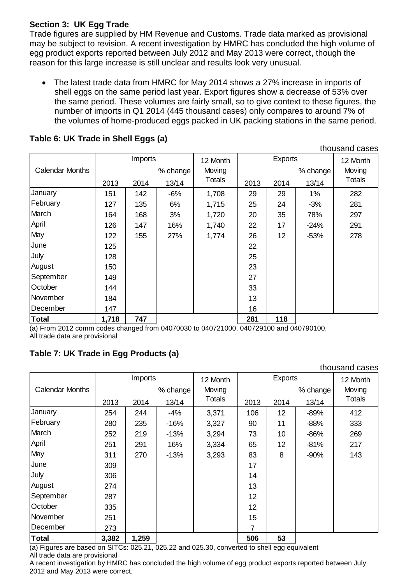### **Section 3: UK Egg Trade**

Trade figures are supplied by HM Revenue and Customs. Trade data marked as provisional may be subject to revision. A recent investigation by HMRC has concluded the high volume of egg product exports reported between July 2012 and May 2013 were correct, though the reason for this large increase is still unclear and results look very unusual.

 The latest trade data from HMRC for May 2014 shows a 27% increase in imports of shell eggs on the same period last year. Export figures show a decrease of 53% over the same period. These volumes are fairly small, so to give context to these figures, the number of imports in Q1 2014 (445 thousand cases) only compares to around 7% of the volumes of home-produced eggs packed in UK packing stations in the same period.

thousand cases

|                        | <b>Imports</b> |      | 12 Month | <b>Exports</b> |      |      | 12 Month |               |
|------------------------|----------------|------|----------|----------------|------|------|----------|---------------|
| <b>Calendar Months</b> |                |      | % change | Moving         |      |      | % change | Moving        |
|                        | 2013           | 2014 | 13/14    | <b>Totals</b>  | 2013 | 2014 | 13/14    | <b>Totals</b> |
| January                | 151            | 142  | $-6%$    | 1,708          | 29   | 29   | 1%       | 282           |
| February               | 127            | 135  | 6%       | 1,715          | 25   | 24   | $-3%$    | 281           |
| March                  | 164            | 168  | 3%       | 1,720          | 20   | 35   | 78%      | 297           |
| April                  | 126            | 147  | 16%      | 1,740          | 22   | 17   | $-24%$   | 291           |
| May                    | 122            | 155  | 27%      | 1,774          | 26   | 12   | $-53%$   | 278           |
| June                   | 125            |      |          |                | 22   |      |          |               |
| July                   | 128            |      |          |                | 25   |      |          |               |
| August                 | 150            |      |          |                | 23   |      |          |               |
| September              | 149            |      |          |                | 27   |      |          |               |
| October                | 144            |      |          |                | 33   |      |          |               |
| November               | 184            |      |          |                | 13   |      |          |               |
| December               | 147            |      |          |                | 16   |      |          |               |
| <b>Total</b>           | 1,718          | 747  |          |                | 281  | 118  |          |               |

### **Table 6: UK Trade in Shell Eggs (a)**

(a) From 2012 comm codes changed from 04070030 to 040721000, 040729100 and 040790100, All trade data are provisional

# **Table 7: UK Trade in Egg Products (a)**

|                        |       |                |          |               |      |                |          | thousand cases |
|------------------------|-------|----------------|----------|---------------|------|----------------|----------|----------------|
|                        |       | <b>Imports</b> |          | 12 Month      |      | <b>Exports</b> |          | 12 Month       |
| <b>Calendar Months</b> |       |                | % change | Moving        |      |                | % change | Moving         |
|                        | 2013  | 2014           | 13/14    | <b>Totals</b> | 2013 | 2014           | 13/14    | <b>Totals</b>  |
| January                | 254   | 244            | $-4%$    | 3,371         | 106  | 12             | $-89%$   | 412            |
| February               | 280   | 235            | $-16%$   | 3,327         | 90   | 11             | $-88%$   | 333            |
| March                  | 252   | 219            | $-13%$   | 3,294         | 73   | 10             | $-86%$   | 269            |
| April                  | 251   | 291            | 16%      | 3,334         | 65   | 12             | $-81%$   | 217            |
| May                    | 311   | 270            | $-13%$   | 3,293         | 83   | 8              | $-90%$   | 143            |
| June                   | 309   |                |          |               | 17   |                |          |                |
| July                   | 306   |                |          |               | 14   |                |          |                |
| August                 | 274   |                |          |               | 13   |                |          |                |
| September              | 287   |                |          |               | 12   |                |          |                |
| October                | 335   |                |          |               | 12   |                |          |                |
| November               | 251   |                |          |               | 15   |                |          |                |
| December               | 273   |                |          |               | 7    |                |          |                |
| Total                  | 3,382 | 1,259          |          |               | 506  | 53             |          |                |

(a) Figures are based on SITCs: 025.21, 025.22 and 025.30, converted to shell egg equivalent All trade data are provisional

A recent investigation by HMRC has concluded the high volume of egg product exports reported between July 2012 and May 2013 were correct.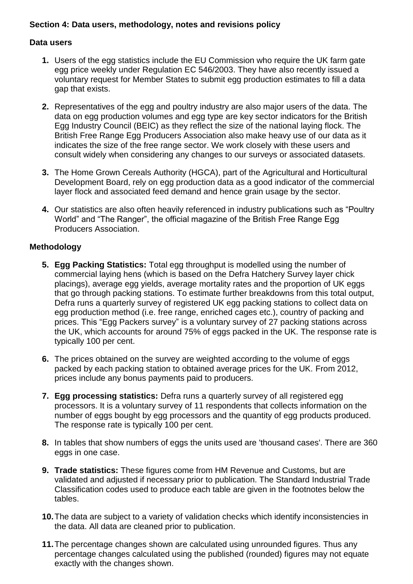#### **Section 4: Data users, methodology, notes and revisions policy**

#### **Data users**

- **1.** Users of the egg statistics include the EU Commission who require the UK farm gate egg price weekly under Regulation EC 546/2003. They have also recently issued a voluntary request for Member States to submit egg production estimates to fill a data gap that exists.
- **2.** Representatives of the egg and poultry industry are also major users of the data. The data on egg production volumes and egg type are key sector indicators for the British Egg Industry Council (BEIC) as they reflect the size of the national laying flock. The British Free Range Egg Producers Association also make heavy use of our data as it indicates the size of the free range sector. We work closely with these users and consult widely when considering any changes to our surveys or associated datasets.
- **3.** The Home Grown Cereals Authority (HGCA), part of the Agricultural and Horticultural Development Board, rely on egg production data as a good indicator of the commercial layer flock and associated feed demand and hence grain usage by the sector.
- **4.** Our statistics are also often heavily referenced in industry publications such as "Poultry World" and "The Ranger", the official magazine of the British Free Range Egg Producers Association.

#### **Methodology**

- **5. Egg Packing Statistics:** Total egg throughput is modelled using the number of commercial laying hens (which is based on the Defra Hatchery Survey layer chick placings), average egg yields, average mortality rates and the proportion of UK eggs that go through packing stations. To estimate further breakdowns from this total output, Defra runs a quarterly survey of registered UK egg packing stations to collect data on egg production method (i.e. free range, enriched cages etc.), country of packing and prices. This "Egg Packers survey" is a voluntary survey of 27 packing stations across the UK, which accounts for around 75% of eggs packed in the UK. The response rate is typically 100 per cent.
- **6.** The prices obtained on the survey are weighted according to the volume of eggs packed by each packing station to obtained average prices for the UK. From 2012, prices include any bonus payments paid to producers.
- **7. Egg processing statistics:** Defra runs a quarterly survey of all registered egg processors. It is a voluntary survey of 11 respondents that collects information on the number of eggs bought by egg processors and the quantity of egg products produced. The response rate is typically 100 per cent.
- **8.** In tables that show numbers of eggs the units used are 'thousand cases'. There are 360 eggs in one case.
- **9. Trade statistics:** These figures come from HM Revenue and Customs, but are validated and adjusted if necessary prior to publication. The Standard Industrial Trade Classification codes used to produce each table are given in the footnotes below the tables.
- **10.**The data are subject to a variety of validation checks which identify inconsistencies in the data. All data are cleaned prior to publication.
- **11.**The percentage changes shown are calculated using unrounded figures. Thus any percentage changes calculated using the published (rounded) figures may not equate exactly with the changes shown.